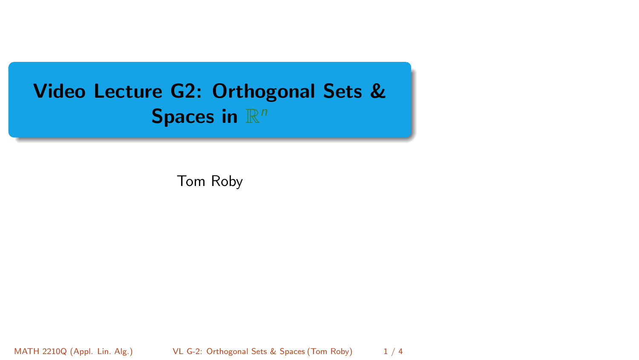# <span id="page-0-0"></span>Video Lecture G2: Orthogonal Sets & Spaces in  $\mathbb{R}^n$

Tom Roby

MATH 2210Q (Appl. Lin. Alg.) [VL G-2: Orthogonal Sets & Spaces](#page-3-0) (Tom Roby) 1 / 4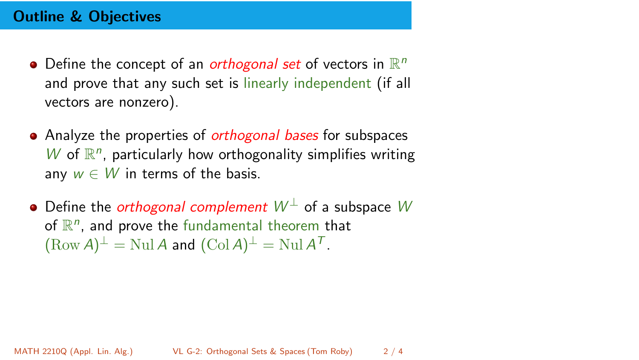#### Outline & Objectives

- Define the concept of an orthogonal set of vectors in  $\mathbb{R}^n$ and prove that any such set is linearly independent (if all vectors are nonzero).
- Analyze the properties of *orthogonal bases* for subspaces  $W$  of  $\mathbb{R}^n$ , particularly how orthogonality simplifies writing any  $w \in W$  in terms of the basis.
- Define the *orthogonal complement*  $W^{\perp}$  of a subspace W of  $\mathbb{R}^n$ , and prove the fundamental theorem that  $(\text{Row } A)^{\perp} = \text{Null } A$  and  $(\text{Col } A)^{\perp} = \text{Null } A^{\mathcal{T}}$ .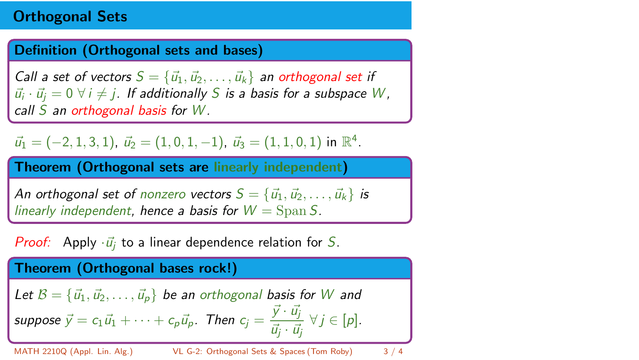## Orthogonal Sets

#### Definition (Orthogonal sets and bases)

Call a set of vectors  $S = \{\vec{u}_1, \vec{u}_2, \dots, \vec{u}_k\}$  an orthogonal set if  $\vec{u_i}\cdot\vec{u_j}=0\,\,\forall\,i\neq j$  . If additionally  $S$  is a basis for a subspace  $W$ , call S an orthogonal basis for W.

 $\vec{u}_1 = (-2, 1, 3, 1), \ \vec{u}_2 = (1, 0, 1, -1), \ \vec{u}_3 = (1, 1, 0, 1) \text{ in } \mathbb{R}^4.$ 

Theorem (Orthogonal sets are linearly independent)

An orthogonal set of nonzero vectors  $S = {\vec{u}_1, \vec{u}_2, \dots, \vec{u}_k}$  is linearly independent, hence a basis for  $W = \text{Span } S$ .

**Proof:** Apply  $\cdot \vec{u}$  to a linear dependence relation for S.

Theorem (Orthogonal bases rock!)

Let 
$$
\mathcal{B} = {\vec{u}_1, \vec{u}_2, ..., \vec{u}_p}
$$
 be an orthogonal basis for *W* and  
suppose  $\vec{y} = c_1 \vec{u}_1 + \cdots + c_p \vec{u}_p$ . Then  $c_j = \frac{\vec{y} \cdot \vec{u}_j}{\vec{u}_j \cdot \vec{u}_j} \ \forall j \in [p]$ .

MATH 2210Q (Appl. Lin. Alg.) [VL G-2: Orthogonal Sets & Spaces](#page-0-0) (Tom Roby) 3 / 4